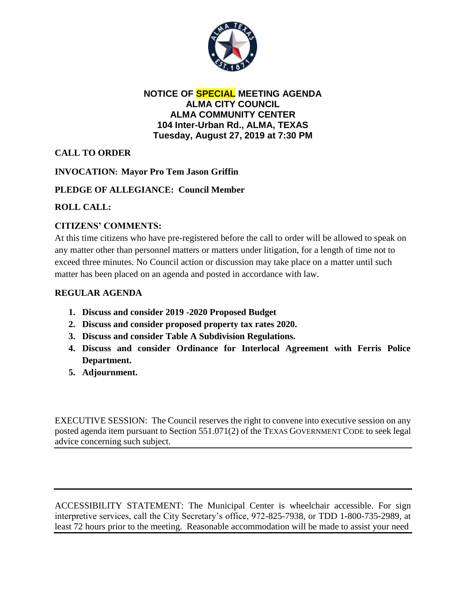

#### **NOTICE OF SPECIAL MEETING AGENDA ALMA CITY COUNCIL ALMA COMMUNITY CENTER 104 Inter-Urban Rd., ALMA, TEXAS Tuesday, August 27, 2019 at 7:30 PM**

# **CALL TO ORDER**

## **INVOCATION: Mayor Pro Tem Jason Griffin**

## **PLEDGE OF ALLEGIANCE: Council Member**

## **ROLL CALL:**

## **CITIZENS' COMMENTS:**

At this time citizens who have pre-registered before the call to order will be allowed to speak on any matter other than personnel matters or matters under litigation, for a length of time not to exceed three minutes. No Council action or discussion may take place on a matter until such matter has been placed on an agenda and posted in accordance with law.

## **REGULAR AGENDA**

- **1. Discuss and consider 2019 -2020 Proposed Budget**
- **2. Discuss and consider proposed property tax rates 2020.**
- **3. Discuss and consider Table A Subdivision Regulations.**
- **4. Discuss and consider Ordinance for Interlocal Agreement with Ferris Police Department.**
- **5. Adjournment.**

EXECUTIVE SESSION: The Council reserves the right to convene into executive session on any posted agenda item pursuant to Section 551.071(2) of the TEXAS GOVERNMENT CODE to seek legal advice concerning such subject.

ACCESSIBILITY STATEMENT: The Municipal Center is wheelchair accessible. For sign interpretive services, call the City Secretary's office, 972-825-7938, or TDD 1-800-735-2989, at least 72 hours prior to the meeting. Reasonable accommodation will be made to assist your need